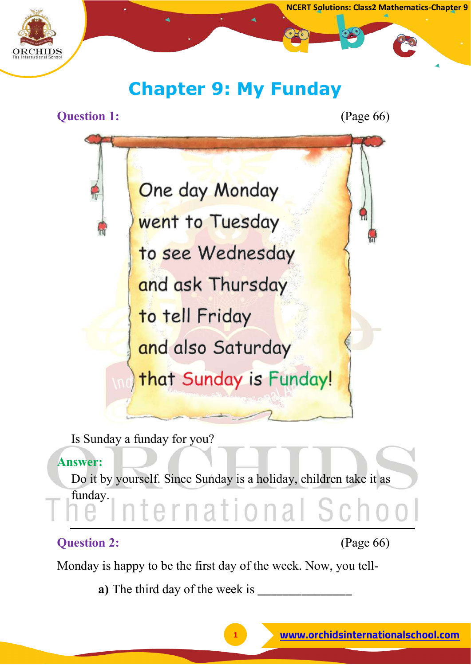

# **Chapter 9: My Funday**

#### **Question 1:** (Page 66)



Is Sunday a funday for you?

#### **Answer:**

Do it by yourself. Since Sunday is a holiday, children take it as funday. ernational Sch

#### **Question 2:** (Page 66)

Monday is happy to be the first day of the week. Now, you tell-

**a**) The third day of the week is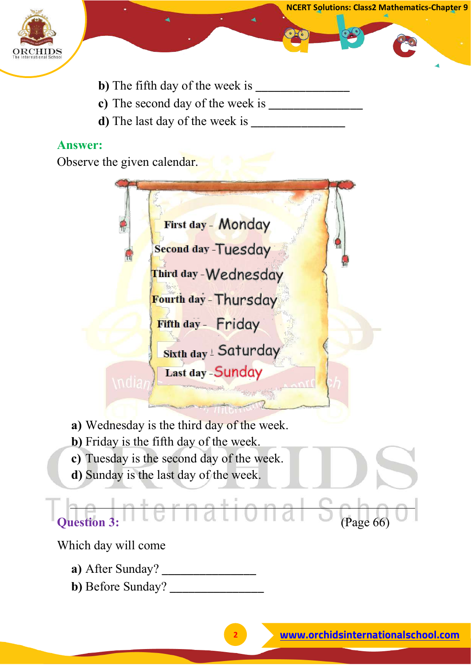

- **NCERT Solutions: Class2 Mathematics-Chapter 9**
- **b)** The fifth day of the week is \_\_\_\_\_\_\_\_\_\_\_\_\_\_\_
- **c)** The second day of the week is \_\_\_\_\_\_\_\_\_\_\_\_\_\_\_
- **d**) The last day of the week is

Observe the given calendar.

First day - Monday Second day -Tuesday Third day - Wednesday Fourth day - Thursday Fifth day - Friday Sixth day ! Saturday Last day - Sunday

- **a)** Wednesday is the third day of the week.
- **b)** Friday is the fifth day of the week.
- **c)** Tuesday is the second day of the week.
- **d)** Sunday is the last day of the week.

**Question 3: A Let Hat ional S (Page 66)** 

Which day will come

- **a)** After Sunday? \_\_\_\_\_\_\_\_\_\_\_\_\_\_\_
- **b)** Before Sunday? \_\_\_\_\_\_\_\_\_\_\_\_\_\_\_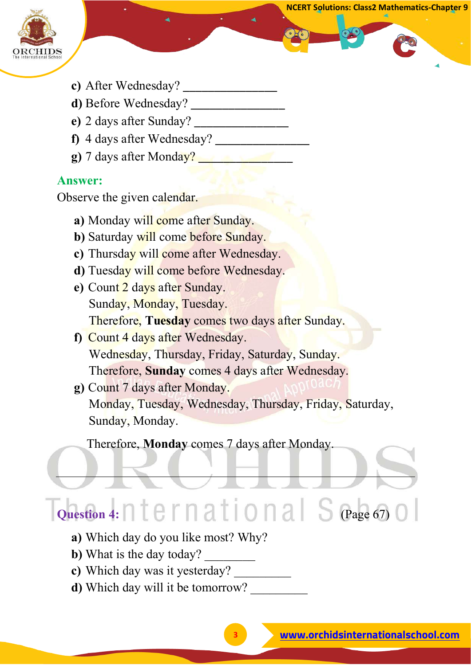

- **c**) After Wednesday?
- **d**) Before Wednesday?
- **e**) 2 days after Sunday?
- **f**) 4 days after Wednesday?
- **g**) 7 days after Monday?

Observe the given calendar.

- **a**) Monday will come after Sunday.
- **b**) Saturday will come before Sunday.
- **c)** Thursday will come after Wednesday.
- **d)** Tuesday will come before Wednesday.
- **e)** Count 2 days after Sunday. Sunday, Monday, Tuesday. Therefore, **Tuesday** comes two days after Sunday.
- **f)** Count 4 days after Wednesday. Wednesday, Thursday, Friday, Saturday, Sunday. Therefore, **Sunday** comes 4 days after Wednesday.
- **g)** Count 7 days after Monday. Monday, Tuesday, Wednesday, Thursday, Friday, Saturday, Sunday, Monday.

Therefore, **Monday** comes 7 days after Monday.

# **Question 4:**  $\bigcap$   $t \in \Gamma$   $\bigcap$   $a$   $t \mid 0 \cap a$   $\big|$   $S$  (Page 67)

- **a)** Which day do you like most? Why?
- **b**) What is the day today?
- **c)** Which day was it yesterday? \_\_\_\_\_\_\_\_\_
- **d**) Which day will it be tomorrow?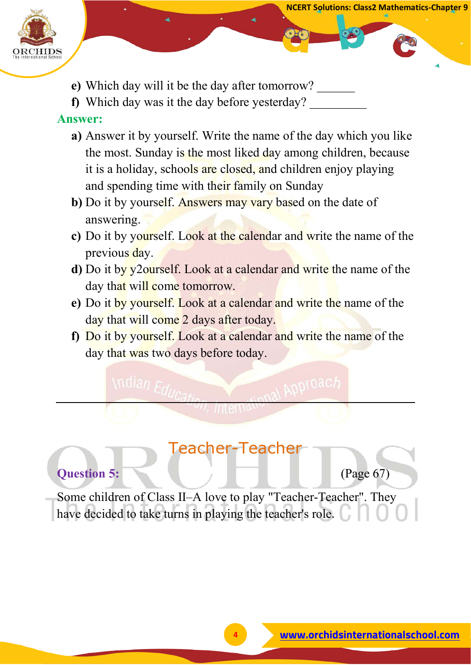

- **NCERT Solutions: Class2 Mathematics-Chapter 9**
- **e)** Which day will it be the day after tomorrow? \_\_\_\_\_\_
- **f**) Which day was it the day before yesterday?

- **a)** Answer it by yourself. Write the name of the day which you like the most. Sunday is the most liked day among children, because it is a holiday, schools are closed, and children enjoy playing and spending time with their family on Sunday
- **b**) Do it by yourself. Answers may vary based on the date of answering.
- **c)** Do it by yourself. Look at the calendar and write the name of the previous day.
- **d)** Do it by y2ourself. Look at a calendar and write the name of the day that will come tomorrow.
- **e)** Do it by yourself. Look at a calendar and write the name of the day that will come 2 days after today.
- **f)** Do it by yourself. Look at a calendar and write the name of the day that was two days before today.

## Teacher-Teacher

#### **Question 5: Constant Constant Constant Constant Constant Constant Constant Constant Constant Constant Constant Constant Constant Constant Constant Constant Constant Constant Constant Constant Constant Constant Constant**

Some children of Class II–A love to play "Teacher-Teacher". They have decided to take turns in playing the teacher's role.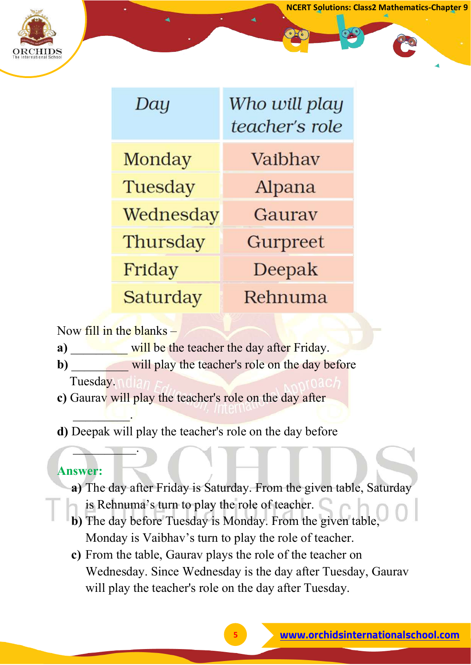

| Day       | Who will play<br>teacher's role |
|-----------|---------------------------------|
| Monday    | Vaibhay                         |
| Tuesday   | Alpana                          |
| Wednesday | Gauray                          |
| Thursday  | Gurpreet                        |
| Friday    | Deepak                          |
| Saturday  | Rehnuma                         |

Now fill in the blanks –

- **a**) will be the teacher the day after Friday.
- **b**) will play the teacher's role on the day before

Tuesday.

 $\overline{\phantom{a}}$  . The set of  $\overline{\phantom{a}}$ 

 $\frown$ 

- **c)** Gaurav will play the teacher's role on the day after
- **d)** Deepak will play the teacher's role on the day before

#### **Answer:**

- **a)** The day after Friday is Saturday. From the given table, Saturday is Rehnuma's turn to play the role of teacher.
- **b)** The day before Tuesday is Monday. From the given table, Monday is Vaibhav's turn to play the role of teacher.
- **c)** From the table, Gaurav plays the role of the teacher on Wednesday. Since Wednesday is the day after Tuesday, Gaurav will play the teacher's role on the day after Tuesday.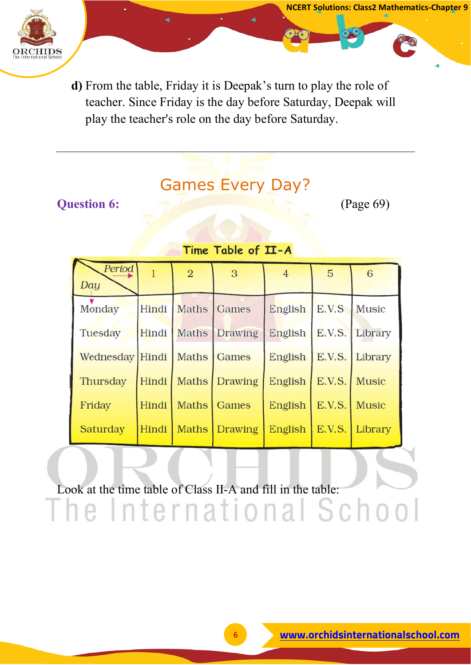

**d)** From the table, Friday it is Deepak's turn to play the role of teacher. Since Friday is the day before Saturday, Deepak will play the teacher's role on the day before Saturday.

## Games Every Day?

#### **Question 6:** (Page 69)

**NCERT Solutions: Class2 Mathematics-Chapter 9**

#### Time Table of II-A

| Period<br>Day               |       | $\overline{2}$ | 3                   | $\overline{4}$ | 5            | 6              |
|-----------------------------|-------|----------------|---------------------|----------------|--------------|----------------|
| Monday                      | Hindi | Maths Games    |                     | English        | E.V.S        | Music          |
| Tuesday                     |       |                | Hindi Maths Drawing | English        |              | E.V.S. Library |
| Wednesday Hindi Maths Games |       |                |                     | English        |              | E.V.S. Library |
| Thursday                    | Hindi |                | Maths Drawing       | English        | E.V.S. Music |                |
| Friday                      | Hindi |                | Maths   Games       | English        | E.V.S.       | <b>Music</b>   |
| Saturday                    | Hindi |                | Maths Drawing       | English        |              | E.V.S. Library |

Look at the time table of Class II-A and fill in the table:The International School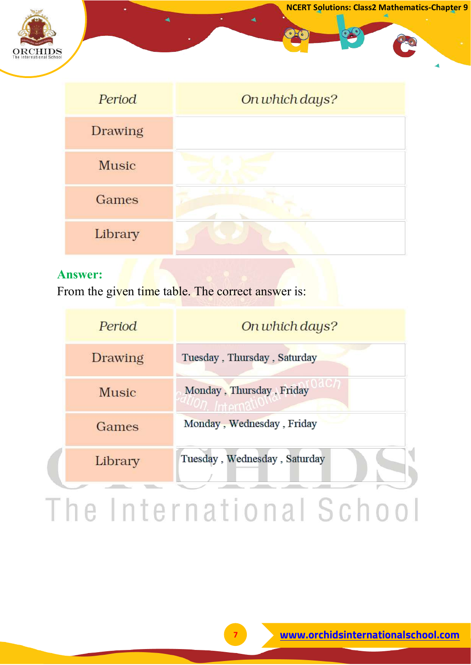

| Period         | On which days? |
|----------------|----------------|
| <b>Drawing</b> |                |
| <b>Music</b>   |                |
| Games          |                |
| Library        |                |

From the given time table. The correct answer is:

| Period       | On which days?               |
|--------------|------------------------------|
| Drawing      | Tuesday, Thursday, Saturday  |
| <b>Music</b> | Monday, Thursday, Friday     |
| Games        | Monday, Wednesday, Friday    |
| Library      | Tuesday, Wednesday, Saturday |
|              | e International Scho         |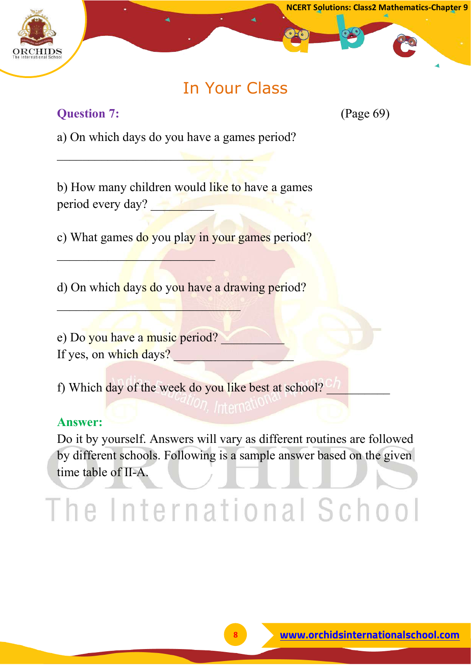

## In Your Class

#### **Question 7:** (Page 69)

a) On which days do you have a games period?

\_\_\_\_\_\_\_\_\_\_\_\_\_\_\_\_\_\_\_\_\_\_\_\_\_\_\_\_\_\_\_

b) How many children would like to have a games period every day?

c) What games do you play in your games period?

d) On which days do you have a drawing period?

e) Do you have a music period? If yes, on which days?

 $\mathcal{L}=\mathcal{L}=\mathcal{L}$ 

 $\mathcal{L}$ 

f) Which day of the week do you like best at school?

#### **Answer:**

Do it by yourself. Answers will vary as different routines are followed by different schools. Following is a sample answer based on the given time table of II-A.

# The International School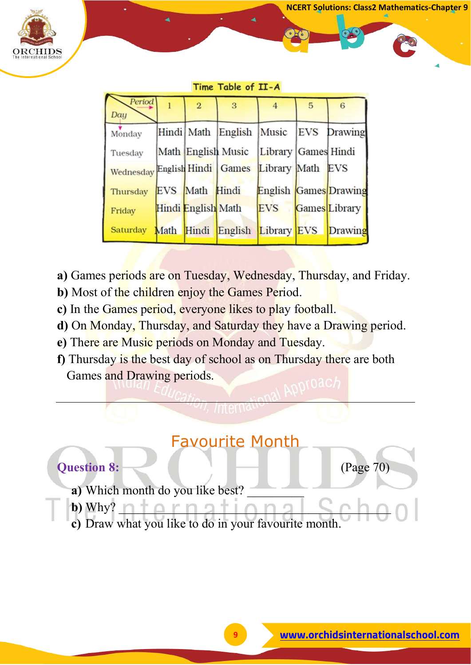

#### Time Table of II-A

| Period<br>Day                                  | $\overline{2}$     | $\overline{3}$                         | 4          | 5 | 6                     |
|------------------------------------------------|--------------------|----------------------------------------|------------|---|-----------------------|
| Monday                                         |                    | Hindi Math English Music               |            |   | <b>EVS</b> Drawing    |
| Tuesday                                        |                    | Math English Music Library Games Hindi |            |   |                       |
| Wednesday English Hindi Games Library Math EVS |                    |                                        |            |   |                       |
| Thursday                                       | EVS Math Hindi     |                                        |            |   | English Games Drawing |
| Friday                                         | Hindi English Math |                                        | <b>EVS</b> |   | Games Library         |
| Saturday Math Hindi English Library EVS        |                    |                                        |            |   | Drawing               |

- **a)** Games periods are on Tuesday, Wednesday, Thursday, and Friday.
- **b**) Most of the children enjoy the Games Period.
- **c)** In the Games period, everyone likes to play football.
- **d)** On Monday, Thursday, and Saturday they have a Drawing period.
- **e)** There are Music periods on Monday and Tuesday.
- **f)** Thursday is the best day of school as on Thursday there are both Games and Drawing periods.

#### Favourite Month



**c)** Draw what you like to do in your favourite month.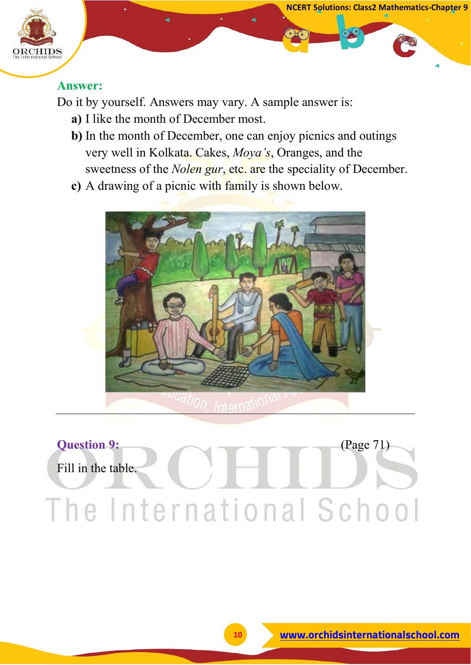

Do it by yourself. Answers may vary. A sample answer is:

- **a)** I like the month of December most.
- **b)** In the month of December, one can enjoy picnics and outings very well in Kolkata. Cakes, *Moya's*, Oranges, and the sweetness of the *Nolen gur*, etc. are the speciality of December.
- **c)** A drawing of a picnic with family is shown below.



# **Question 9:** (Page 71) Fill in the table.The International School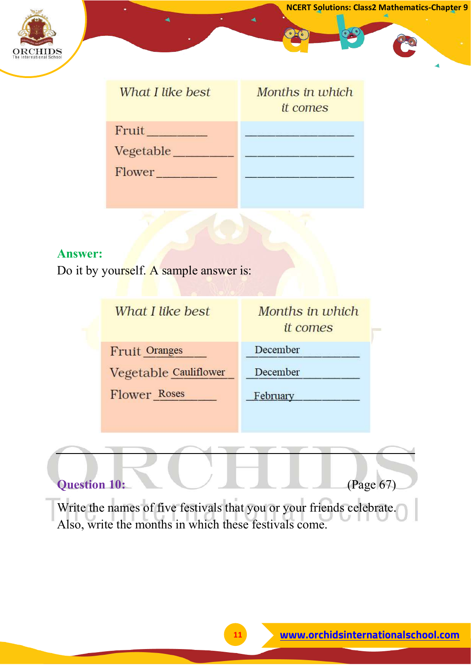

which

| What I like best | Months in wi<br>it comes |
|------------------|--------------------------|
| Fruit            |                          |
| Vegetable        |                          |
| Flower           |                          |
|                  |                          |

#### **Answer:**

Do it by yourself. A sample answer is:

| Months in which<br><i>it comes</i> |
|------------------------------------|
| December                           |
| December                           |
| February                           |
|                                    |

### **Question 10:** (Page 67)

Write the names of five festivals that you or your friends celebrate. Also, write the months in which these festivals come.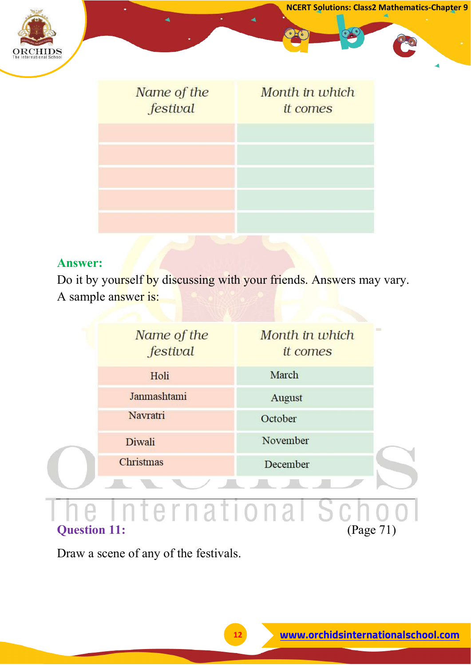

| Name of the<br>festival | Month in which<br><i>it comes</i> |
|-------------------------|-----------------------------------|
|                         |                                   |
|                         |                                   |
|                         |                                   |

Do it by yourself by discussing with your friends. Answers may vary. A sample answer is:

|                     | Name of the<br>festival | Month in which<br>it comes | <b>The Contract</b> |
|---------------------|-------------------------|----------------------------|---------------------|
|                     | Holi                    | March                      |                     |
|                     | Janmashtami             | August                     |                     |
|                     | Navratri                | October                    |                     |
|                     | Diwali                  | November                   |                     |
|                     | Christmas               | December                   |                     |
|                     |                         |                            |                     |
|                     |                         | nternational Sc            |                     |
| <b>Question 11:</b> |                         |                            | (Page 71)           |

Draw a scene of any of the festivals.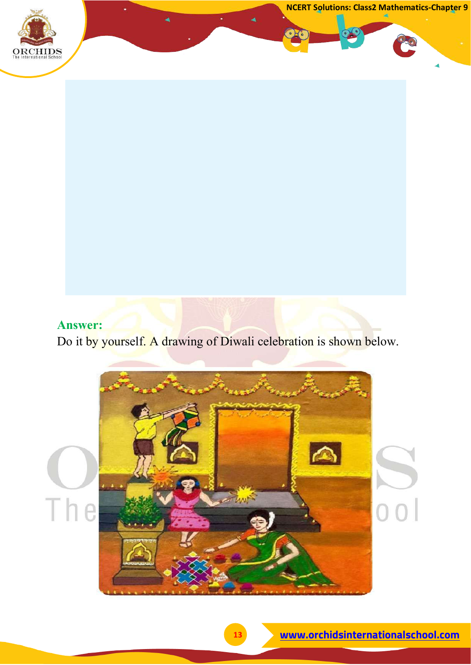**NCERT Solutions: Class2 Mathematics-Chapter 9**



#### **Answer:**

Do it by yourself. A drawing of Diwali celebration is shown below.

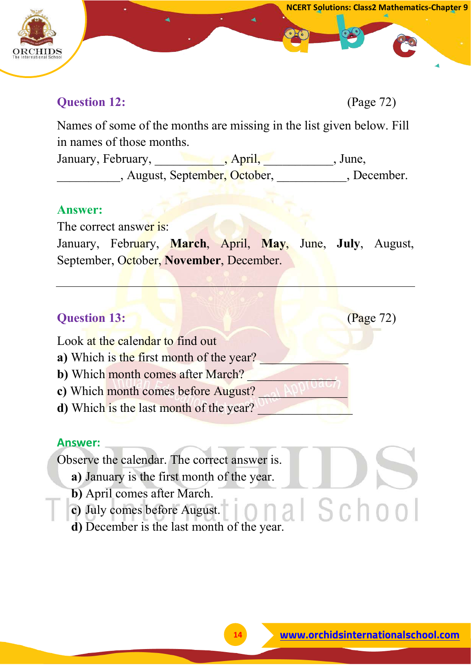

Names of some of the months are missing in the list given below. Fill in names of those months.

January, February, \_\_\_\_\_\_\_\_\_\_\_\_, April, \_\_\_\_\_\_\_\_\_\_, June, August, September, October, August, December.

#### **Answer:**

The correct answer is:

January, February, **March**, April, **May**, June, **July**, August, September, October, **November**, December.

#### **Question 13: (Page 72)**

Look at the calendar to find out

- **a**) Which is the first month of the year?
- **b**) Which month comes after March?
- **c**) Which month comes before August?
- **d**) Which is the last month of the year?

#### **Answer:**

Observe the calendar. The correct answer is.

- **a)** January is the first month of the year.
- **b)** April comes after March.
- **c)** July comes before August.
- al School **d)** December is the last month of the year.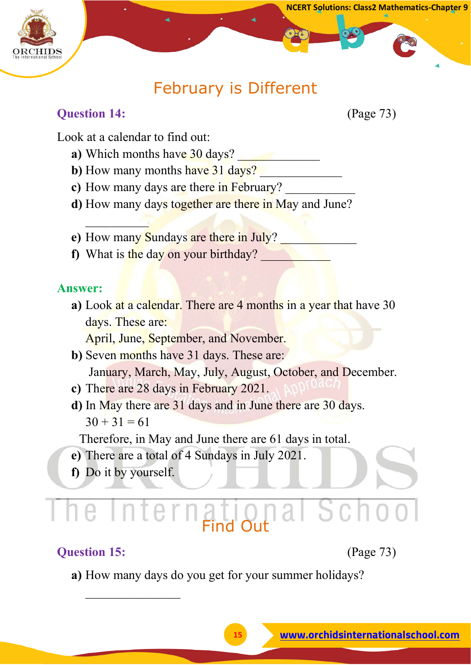

## February is Different

#### **Question 14:** (Page 73)

Look at a calendar to find out:

 $\sim$ 

- **a**) Which months have 30 days?
- **b**) How many months have 31 days?
- c) How many days are there in February?
- **d)** How many days together are there in May and June?
- **e**) How many Sundays are there in July?
- **f)** What is the day on your birthday?

#### **Answer:**

**a)** Look at a calendar. There are 4 months in a year that have 30 days. These are:

April, June, September, and November.

- **b)** Seven months have 31 days. These are: January, March, May, July, August, October, and December.
- **c)** There are 28 days in February 2021.
- **d)** In May there are 31 days and in June there are 30 days.  $30 + 31 = 61$

Therefore, in May and June there are 61 days in total.

- **e)** There are a total of 4 Sundays in July 2021.
- **f)** Do it by yourself.

 $\overline{\phantom{a}}$ 

# Find Out

#### **Question 15:** (Page 73)

**a)** How many days do you get for your summer holidays?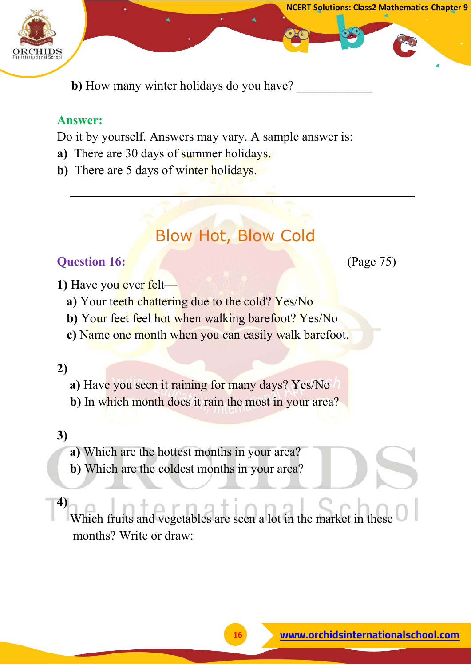

**b**) How many winter holidays do you have?

#### **Answer:**

Do it by yourself. Answers may vary. A sample answer is:

- **a)** There are 30 days of summer holidays.
- **b**) There are 5 days of winter holidays.

# Blow Hot, Blow Cold

#### **Question 16: (Page 75)**

**NCERT Solutions: Class2 Mathematics-Chapter 9**

- **1)** Have you ever felt
	- **a**) Your teeth chattering due to the cold? Yes/No
	- **b**) Your feet feel hot when walking barefoot? Yes/No
	- **c)** Name one month when you can easily walk barefoot.

#### **2)**

- **a)** Have you seen it raining for many days? Yes/No
- **b)** In which month does it rain the most in your area?

#### **3)**

- **a)** Which are the hottest months in your area?
- **b)** Which are the coldest months in your area?

#### **4)**

 Which fruits and vegetables are seen a lot in the market in these months? Write or draw: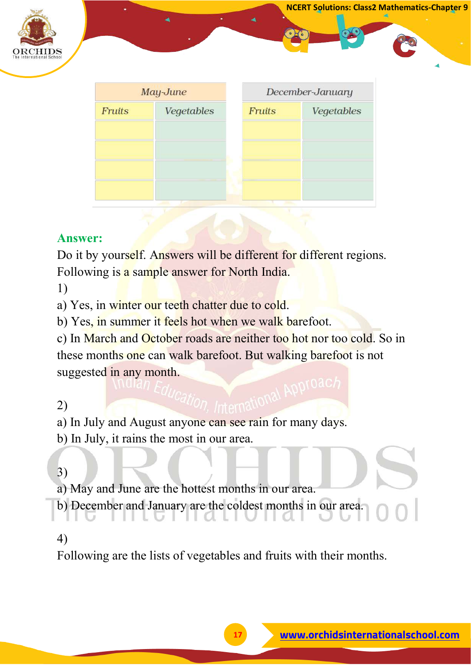

| May-June      |            | December-January |            |  |
|---------------|------------|------------------|------------|--|
| <b>Fruits</b> | Vegetables | <b>Fruits</b>    | Vegetables |  |
|               |            |                  |            |  |
|               |            |                  |            |  |
|               |            |                  |            |  |
|               |            |                  |            |  |
|               |            |                  |            |  |

Do it by yourself. Answers will be different for different regions. Following is a sample answer for North India.

1)

a) Yes, in winter our teeth chatter due to cold.

b) Yes, in summer it feels hot when we walk barefoot.

c) In March and October roads are neither too hot nor too cold. So in these months one can walk barefoot. But walking barefoot is not suggested in any month.

#### 2)

a) In July and August anyone can see rain for many days.

b) In July, it rains the most in our area.

#### 3)

a) May and June are the hottest months in our area.

b) December and January are the coldest months in our area.

#### 4)

Following are the lists of vegetables and fruits with their months.

**NCERT Solutions: Class2 Mathematics-Chapter 9**